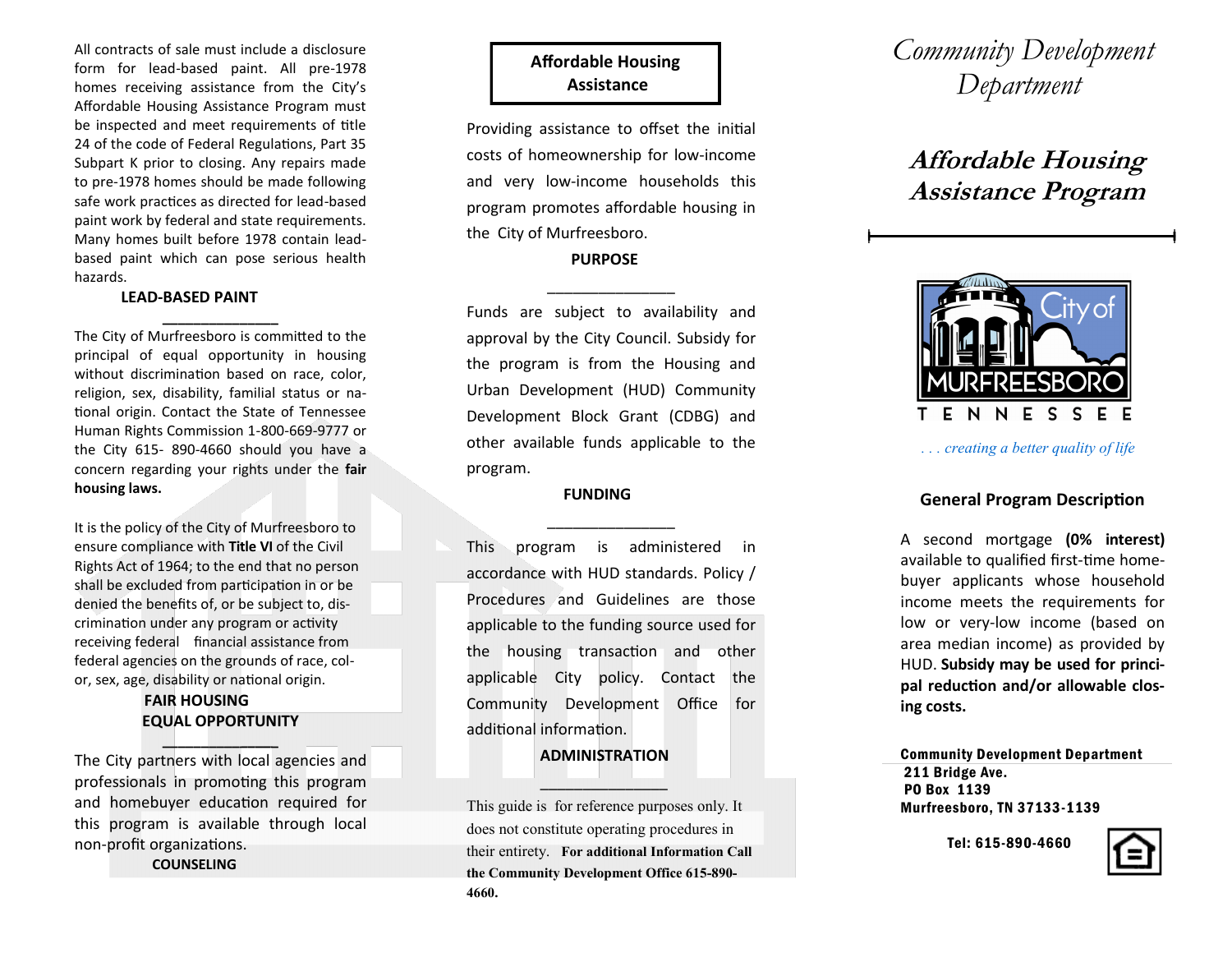All contracts of sale must include a disclosure form for lead -based paint. All pre -1978 homes receiving assistance from the City's Affordable Housing Assistance Program must be inspected and meet requirements of title 24 of the code of Federal Regulations, Part 35 Subpart K prior to closing. Any repairs made to pre -1978 homes should be made following safe work practices as directed for lead -based paint work by federal and state requirements. Many homes built before 1978 contain lead based paint which can pose serious health hazards.

#### **LEAD -BASED PAINT**

The City of Murfreesboro is committed to the principal of equal opportunity in housing without discrimination based on race, color, religion, sex, disability, familial status or national origin. Contact the State of Tennessee Human Rights Commission 1 -800 -669 -9777 or the City 615 - 890 -4660 should you have a concern regarding your rights under the **fair housing laws.**

**\_\_\_\_\_\_\_\_\_\_\_\_\_\_\_**

It is the policy of the City of Murfreesboro to ensure compliance with **Title VI** of the Civil Rights Act of 1964; to the end that no person shall be excluded from participation in or be denied the benefits of, or be subject to, discrimination under any program or activity receiving federal financial assistance from federal agencies on the grounds of race, color, sex, age, disability or national origin.

# **FAIR HOUSING EQUAL OPPORTUNITY \_\_\_\_\_\_\_\_\_\_\_\_\_\_\_**

The City partners with local agencies and professionals in promoting this program and homebuyer education required for this program is available through local non -profit organizations.

#### **COUNSELING**

# **Affordable Housing Assistance**

Providing assistance to offset the initial costs of homeownership for low -income and very low -income households this program promotes affordable housing in the City of Murfreesboro.

## **PURPOSE**

\_\_\_\_\_\_\_\_\_\_\_\_\_\_\_

Funds are subject to availability and approval by the City Council. Subsidy for the program is from the Housing and Urban Development (HUD) Community Development Block Grant (CDBG) and other available funds applicable to the program.

#### **FUNDING**

\_\_\_\_\_\_\_\_\_\_\_\_\_\_\_

This program is administered in accordance with HUD standards. Policy / Procedures and Guidelines are those applicable to the funding source used for the housing transaction and other applicable City policy. Contact the Community Development Office for additional information.

## **ADMINISTRATION**

 $\sim$   $\sim$   $\sim$   $\sim$   $\sim$   $\sim$   $\sim$   $\sim$ 

This guide is for reference purposes only. It does not constitute operating procedures in their entirety. **For additional Information Call the Community Development Office 615 -890 - 4660.**

# *Community Development Department*

# **Affordable Housing Assistance Program**



*. . . creating a better quality of life*

# **General Program Description**

A second mortgage **(0% interest)** available to qualified first -time homebuyer applicants whose household income meets the requirements for low or very -low income (based on area median income) as provided by HUD. **Subsidy may be used for principal reduction and/or allowable closing costs.**

Community Development Department 211 Bridge Ave. PO Box 1139 Murfreesboro, TN 37133 -1139

Tel: 615 -890 -4660